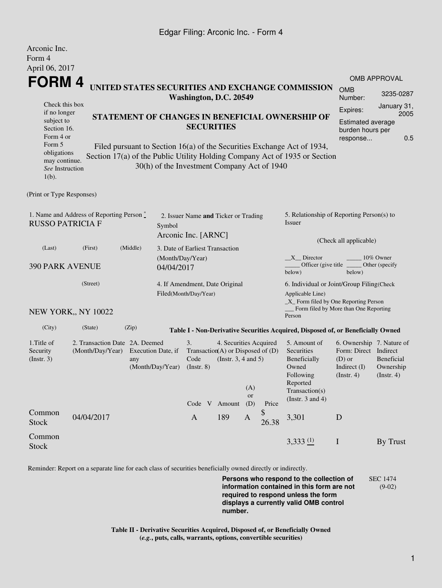## Edgar Filing: Arconic Inc. - Form 4

Arconic Inc.

| <i>L</i> MUULILU LIIU.<br>Form 4                                                                                                                                                                                                |                                                    |          |                                                                       |                                                                                                                                                |     |     |                                                                                                |                                                                                                         |                                                                                                    |                     |  |
|---------------------------------------------------------------------------------------------------------------------------------------------------------------------------------------------------------------------------------|----------------------------------------------------|----------|-----------------------------------------------------------------------|------------------------------------------------------------------------------------------------------------------------------------------------|-----|-----|------------------------------------------------------------------------------------------------|---------------------------------------------------------------------------------------------------------|----------------------------------------------------------------------------------------------------|---------------------|--|
| April 06, 2017                                                                                                                                                                                                                  |                                                    |          |                                                                       |                                                                                                                                                |     |     |                                                                                                |                                                                                                         |                                                                                                    | <b>OMB APPROVAL</b> |  |
| <b>FORM 4</b><br>UNITED STATES SECURITIES AND EXCHANGE COMMISSION<br>Washington, D.C. 20549                                                                                                                                     |                                                    |          |                                                                       |                                                                                                                                                |     |     |                                                                                                | <b>OMB</b><br>Number:                                                                                   | 3235-0287                                                                                          |                     |  |
| Check this box<br>if no longer<br>STATEMENT OF CHANGES IN BENEFICIAL OWNERSHIP OF<br>subject to<br>Section 16.<br>Form 4 or<br>Form 5<br>Filed pursuant to Section 16(a) of the Securities Exchange Act of 1934,<br>obligations |                                                    |          |                                                                       | <b>SECURITIES</b>                                                                                                                              |     |     |                                                                                                |                                                                                                         | January 31,<br>Expires:<br>2005<br><b>Estimated average</b><br>burden hours per<br>0.5<br>response |                     |  |
| may continue.<br>See Instruction<br>$1(b)$ .                                                                                                                                                                                    |                                                    |          |                                                                       | 30(h) of the Investment Company Act of 1940                                                                                                    |     |     |                                                                                                | Section 17(a) of the Public Utility Holding Company Act of 1935 or Section                              |                                                                                                    |                     |  |
| (Print or Type Responses)                                                                                                                                                                                                       |                                                    |          |                                                                       |                                                                                                                                                |     |     |                                                                                                |                                                                                                         |                                                                                                    |                     |  |
| 1. Name and Address of Reporting Person $\degree$<br><b>RUSSO PATRICIA F</b>                                                                                                                                                    |                                                    |          | 2. Issuer Name and Ticker or Trading<br>Symbol<br>Arconic Inc. [ARNC] |                                                                                                                                                |     |     |                                                                                                | 5. Relationship of Reporting Person(s) to<br>Issuer                                                     |                                                                                                    |                     |  |
| (Last)                                                                                                                                                                                                                          | (First)                                            | (Middle) | 3. Date of Earliest Transaction                                       |                                                                                                                                                |     |     |                                                                                                | (Check all applicable)                                                                                  |                                                                                                    |                     |  |
| <b>390 PARK AVENUE</b>                                                                                                                                                                                                          |                                                    |          | (Month/Day/Year)<br>04/04/2017                                        |                                                                                                                                                |     |     |                                                                                                | X Director<br>10% Owner<br>Officer (give title ________ Other (specify<br>below)<br>below)              |                                                                                                    |                     |  |
| (Street)                                                                                                                                                                                                                        |                                                    |          |                                                                       | 4. If Amendment, Date Original<br>Filed(Month/Day/Year)                                                                                        |     |     |                                                                                                | 6. Individual or Joint/Group Filing(Check<br>Applicable Line)<br>_X_ Form filed by One Reporting Person |                                                                                                    |                     |  |
|                                                                                                                                                                                                                                 | NEW YORK,, NY 10022                                |          |                                                                       |                                                                                                                                                |     |     |                                                                                                | Form filed by More than One Reporting<br>Person                                                         |                                                                                                    |                     |  |
| (City)                                                                                                                                                                                                                          | (State)                                            | (Zip)    |                                                                       |                                                                                                                                                |     |     |                                                                                                | Table I - Non-Derivative Securities Acquired, Disposed of, or Beneficially Owned                        |                                                                                                    |                     |  |
| 1. Title of<br>Security<br>(Insert. 3)                                                                                                                                                                                          | 2. Transaction Date 2A. Deemed<br>(Month/Day/Year) | any      | Execution Date, if<br>(Month/Day/Year)                                | 4. Securities Acquired<br>3.<br>Transaction(A) or Disposed of $(D)$<br>(Instr. $3, 4$ and $5$ )<br>Code<br>$($ Instr. $8)$<br>(A)<br><b>or</b> |     |     | 5. Amount of<br>Securities<br>Beneficially<br>Owned<br>Following<br>Reported<br>Transaction(s) | 6. Ownership 7. Nature of<br>Form: Direct Indirect<br>$(D)$ or<br>Indirect $(I)$<br>$($ Instr. 4 $)$    | Beneficial<br>Ownership<br>(Instr. 4)                                                              |                     |  |
|                                                                                                                                                                                                                                 |                                                    |          |                                                                       | Code V Amount                                                                                                                                  |     | (D) | Price                                                                                          | (Instr. $3$ and $4$ )                                                                                   |                                                                                                    |                     |  |
| Common<br><b>Stock</b>                                                                                                                                                                                                          | 04/04/2017                                         |          |                                                                       | $\mathbf{A}$                                                                                                                                   | 189 | A   | \$<br>26.38                                                                                    | 3,301                                                                                                   | D                                                                                                  |                     |  |
| Common<br><b>Stock</b>                                                                                                                                                                                                          |                                                    |          |                                                                       |                                                                                                                                                |     |     |                                                                                                | 3,333(1)                                                                                                | $\mathbf I$                                                                                        | By Trust            |  |

Reminder: Report on a separate line for each class of securities beneficially owned directly or indirectly.

**Persons who respond to the collection of information contained in this form are not required to respond unless the form displays a currently valid OMB control number.** SEC 1474 (9-02)

**Table II - Derivative Securities Acquired, Disposed of, or Beneficially Owned (***e.g.***, puts, calls, warrants, options, convertible securities)**